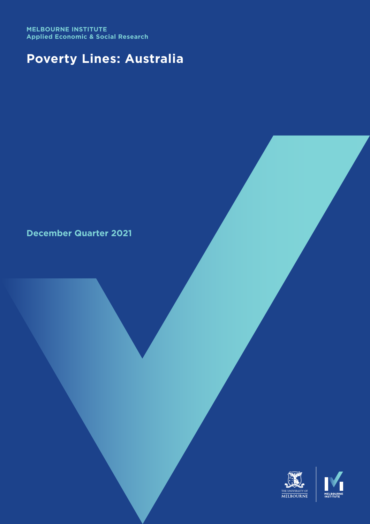**MELBOURNE INSTITUTE Applied Economic & Social Research**

# **Poverty Lines: Australia**

**December Quarter 2021**

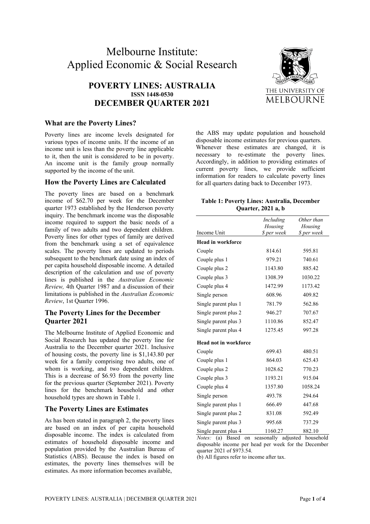# Melbourne Institute: Applied Economic & Social Research

# **POVERTY LINES: AUSTRALIA ISSN 1448-0530 DECEMBER QUARTER 2021**



#### **What are the Poverty Lines?**

Poverty lines are income levels designated for various types of income units. If the income of an income unit is less than the poverty line applicable to it, then the unit is considered to be in poverty. An income unit is the family group normally supported by the income of the unit.

#### **How the Poverty Lines are Calculated**

The poverty lines are based on a benchmark income of \$62.70 per week for the December quarter 1973 established by the Henderson poverty inquiry. The benchmark income was the disposable income required to support the basic needs of a family of two adults and two dependent children. Poverty lines for other types of family are derived from the benchmark using a set of equivalence scales. The poverty lines are updated to periods subsequent to the benchmark date using an index of per capita household disposable income. A detailed description of the calculation and use of poverty lines is published in the *Australian Economic Review,* 4th Quarter 1987 and a discussion of their limitations is published in the *Australian Economic Review*, 1st Quarter 1996.

#### **The Poverty Lines for the December Quarter 2021**

The Melbourne Institute of Applied Economic and Social Research has updated the poverty line for Australia to the December quarter 2021. Inclusive of housing costs, the poverty line is \$1,143.80 per week for a family comprising two adults, one of whom is working, and two dependent children. This is a decrease of \$6.93 from the poverty line for the previous quarter (September 2021). Poverty lines for the benchmark household and other household types are shown in Table 1.

#### **The Poverty Lines are Estimates**

As has been stated in paragraph 2, the poverty lines are based on an index of per capita household disposable income. The index is calculated from estimates of household disposable income and population provided by the Australian Bureau of Statistics (ABS). Because the index is based on estimates, the poverty lines themselves will be estimates. As more information becomes available,

the ABS may update population and household disposable income estimates for previous quarters. Whenever these estimates are changed, it is necessary to re-estimate the poverty lines. Accordingly, in addition to providing estimates of current poverty lines, we provide sufficient information for readers to calculate poverty lines for all quarters dating back to December 1973.

#### **Table 1: Poverty Lines: Australia, December Quarter, 2021 a, b**

|                              | Including   | Other than  |
|------------------------------|-------------|-------------|
|                              | Housing     | Housing     |
| Income Unit                  | \$ per week | \$ per week |
| <b>Head in workforce</b>     |             |             |
| Couple                       | 814.61      | 595.81      |
| Couple plus 1                | 979.21      | 740.61      |
| Couple plus 2                | 1143.80     | 885.42      |
| Couple plus 3                | 1308.39     | 1030.22     |
| Couple plus 4                | 1472.99     | 1173.42     |
| Single person                | 608.96      | 409.82      |
| Single parent plus 1         | 781.79      | 562.86      |
| Single parent plus 2         | 946.27      | 707.67      |
| Single parent plus 3         | 1110.86     | 852.47      |
| Single parent plus 4         | 1275.45     | 997.28      |
| <b>Head not in workforce</b> |             |             |
| Couple                       | 699.43      | 480.51      |
| Couple plus 1                | 864.03      | 625.43      |
| Couple plus 2                | 1028.62     | 770.23      |
| Couple plus 3                | 1193.21     | 915.04      |
| Couple plus 4                | 1357.80     | 1058.24     |
| Single person                | 493.78      | 294.64      |
| Single parent plus 1         | 666.49      | 447.68      |
| Single parent plus 2         | 831.08      | 592.49      |
| Single parent plus 3         | 995.68      | 737.29      |
| Single parent plus 4         | 1160.27     | 882.10      |

*Notes:* (a) Based on seasonally adjusted household disposable income per head per week for the December quarter 2021 of \$973.54.

(b) All figures refer to income after tax.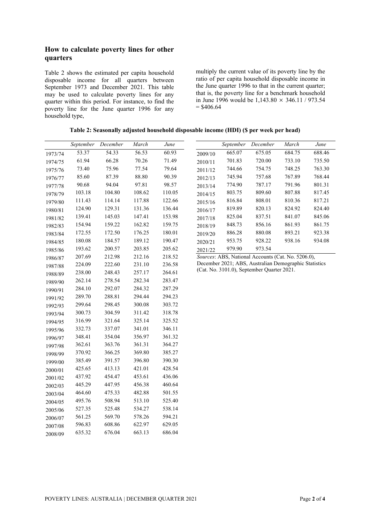## **How to calculate poverty lines for other quarters**

Table 2 shows the estimated per capita household disposable income for all quarters between September 1973 and December 2021. This table may be used to calculate poverty lines for any quarter within this period. For instance, to find the poverty line for the June quarter 1996 for any household type,

multiply the current value of its poverty line by the ratio of per capita household disposable income in the June quarter 1996 to that in the current quarter; that is, the poverty line for a benchmark household in June 1996 would be  $1,143.80 \times 346.11 / 973.54$  $=$  \$406.64

| Table 2: Seasonally adjusted household disposable income (HDI) (\$ per week per head) |  |  |  |  |  |
|---------------------------------------------------------------------------------------|--|--|--|--|--|
|                                                                                       |  |  |  |  |  |

|         | September | December | March  | June   |         | September | December                                              | March  | June   |
|---------|-----------|----------|--------|--------|---------|-----------|-------------------------------------------------------|--------|--------|
| 1973/74 | 53.37     | 54.33    | 56.53  | 60.93  | 2009/10 | 665.07    | 675.05                                                | 684.75 | 688.46 |
| 1974/75 | 61.94     | 66.28    | 70.26  | 71.49  | 2010/11 | 701.83    | 720.00                                                | 733.10 | 735.50 |
| 1975/76 | 73.40     | 75.96    | 77.54  | 79.64  | 2011/12 | 744.66    | 754.75                                                | 748.25 | 763.30 |
| 1976/77 | 85.60     | 87.39    | 88.80  | 90.39  | 2012/13 | 745.94    | 757.68                                                | 767.89 | 768.44 |
| 1977/78 | 90.68     | 94.04    | 97.81  | 98.57  | 2013/14 | 774.90    | 787.17                                                | 791.96 | 801.31 |
| 1978/79 | 103.18    | 104.80   | 108.62 | 110.05 | 2014/15 | 803.75    | 809.60                                                | 807.88 | 817.45 |
| 1979/80 | 111.43    | 114.14   | 117.88 | 122.66 | 2015/16 | 816.84    | 808.01                                                | 810.36 | 817.21 |
| 1980/81 | 124.90    | 129.31   | 131.36 | 136.44 | 2016/17 | 819.89    | 820.13                                                | 824.92 | 824.40 |
| 1981/82 | 139.41    | 145.03   | 147.41 | 153.98 | 2017/18 | 825.04    | 837.51                                                | 841.07 | 845.06 |
| 1982/83 | 154.94    | 159.22   | 162.82 | 159.75 | 2018/19 | 848.73    | 856.16                                                | 861.93 | 861.75 |
| 1983/84 | 172.55    | 172.50   | 176.25 | 180.01 | 2019/20 | 886.28    | 880.08                                                | 893.21 | 923.38 |
| 1984/85 | 180.08    | 184.57   | 189.12 | 190.47 | 2020/21 | 953.75    | 928.22                                                | 938.16 | 934.08 |
| 1985/86 | 193.62    | 200.57   | 203.85 | 205.62 | 2021/22 | 979.90    | 973.54                                                |        |        |
| 1986/87 | 207.69    | 212.98   | 212.16 | 218.52 |         |           | Sources: ABS, National Accounts (Cat. No. 5206.0),    |        |        |
| 1987/88 | 224.09    | 222.60   | 231.10 | 236.58 |         |           | December 2021; ABS, Australian Demographic Statistics |        |        |
| 1988/89 | 238.00    | 248.43   | 257.17 | 264.61 |         |           | (Cat. No. 3101.0), September Quarter 2021.            |        |        |
| 1989/90 | 262.14    | 278.54   | 282.34 | 283.47 |         |           |                                                       |        |        |
| 1990/91 | 284.10    | 292.07   | 284.32 | 287.29 |         |           |                                                       |        |        |
| 1991/92 | 289.70    | 288.81   | 294.44 | 294.23 |         |           |                                                       |        |        |
| 1992/93 | 299.64    | 298.45   | 300.08 | 303.72 |         |           |                                                       |        |        |
| 1993/94 | 300.73    | 304.59   | 311.42 | 318.78 |         |           |                                                       |        |        |
| 1994/95 | 316.99    | 321.64   | 325.14 | 325.52 |         |           |                                                       |        |        |
| 1995/96 | 332.73    | 337.07   | 341.01 | 346.11 |         |           |                                                       |        |        |
| 1996/97 | 348.41    | 354.04   | 356.97 | 361.32 |         |           |                                                       |        |        |
| 1997/98 | 362.61    | 363.76   | 361.31 | 364.27 |         |           |                                                       |        |        |
| 1998/99 | 370.92    | 366.25   | 369.80 | 385.27 |         |           |                                                       |        |        |
| 1999/00 | 385.49    | 391.57   | 396.80 | 390.30 |         |           |                                                       |        |        |
| 2000/01 | 425.65    | 413.13   | 421.01 | 428.54 |         |           |                                                       |        |        |
| 2001/02 | 437.92    | 454.47   | 453.61 | 436.06 |         |           |                                                       |        |        |
| 2002/03 | 445.29    | 447.95   | 456.38 | 460.64 |         |           |                                                       |        |        |
| 2003/04 | 464.60    | 475.33   | 482.88 | 501.55 |         |           |                                                       |        |        |
| 2004/05 | 495.76    | 508.94   | 513.10 | 525.40 |         |           |                                                       |        |        |
| 2005/06 | 527.35    | 525.48   | 534.27 | 538.14 |         |           |                                                       |        |        |
| 2006/07 | 561.25    | 569.70   | 578.26 | 594.21 |         |           |                                                       |        |        |
| 2007/08 | 596.83    | 608.86   | 622.97 | 629.05 |         |           |                                                       |        |        |
| 2008/09 | 635.32    | 676.04   | 663.13 | 686.04 |         |           |                                                       |        |        |

2008/09 635.32 676.04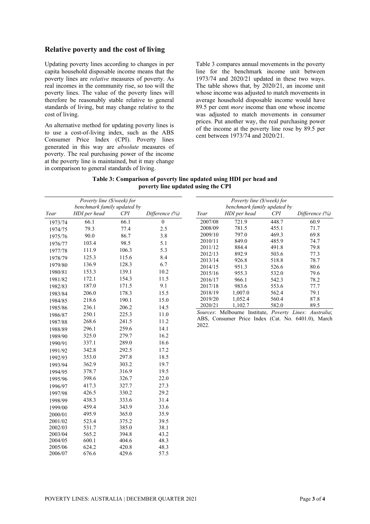#### **Relative poverty and the cost of living**

Updating poverty lines according to changes in per capita household disposable income means that the poverty lines are *relative* measures of poverty. As real incomes in the community rise, so too will the poverty lines. The value of the poverty lines will therefore be reasonably stable relative to general standards of living, but may change relative to the cost of living.

An alternative method for updating poverty lines is to use a cost-of-living index, such as the ABS Consumer Price Index (CPI). Poverty lines generated in this way are *absolute* measures of poverty. The real purchasing power of the income at the poverty line is maintained, but it may change in comparison to general standards of living.

Table 3 compares annual movements in the poverty line for the benchmark income unit between 1973/74 and 2020/21 updated in these two ways. The table shows that, by 2020/21, an income unit whose income was adjusted to match movements in average household disposable income would have 89.5 per cent *more* income than one whose income was adjusted to match movements in consumer prices. Put another way, the real purchasing power of the income at the poverty line rose by 89.5 per cent between 1973/74 and 2020/21.

**Table 3: Comparison of poverty line updated using HDI per head and poverty line updated using the CPI**

|         | Poverty line (\$/week) for  |       |                   |                             | Poverty line (\$/week) for |                |                                                         |
|---------|-----------------------------|-------|-------------------|-----------------------------|----------------------------|----------------|---------------------------------------------------------|
|         | benchmark family updated by |       |                   | benchmark family updated by |                            |                |                                                         |
| Year    | HDI per head                | CPI   | Difference $(\%)$ | Year                        | HDI per head               | CPI            | Difference (%)                                          |
| 1973/74 | 66.1                        | 66.1  | $\mathbf{0}$      | 2007/08                     | 721.9                      | 448.7          | 60.9                                                    |
| 1974/75 | 79.3                        | 77.4  | 2.5               | 2008/09                     | 781.5                      | 455.1          | 71.7                                                    |
| 1975/76 | 90.0                        | 86.7  | 3.8               | 2009/10                     | 797.0                      | 469.3          | 69.8                                                    |
| 1976/77 | 103.4                       | 98.5  | 5.1               | 2010/11                     | 849.0                      | 485.9          | 74.7                                                    |
| 1977/78 | 111.9                       | 106.3 | 5.3               | 2011/12                     | 884.4                      | 491.8          | 79.8                                                    |
| 1978/79 | 125.3                       | 115.6 | 8.4               | 2012/13                     | 892.9                      | 503.6          | 77.3                                                    |
| 1979/80 | 136.9                       | 128.3 | 6.7               | 2013/14                     | 926.8                      | 518.8          | 78.7<br>80.6                                            |
| 1980/81 | 153.3                       | 139.1 | 10.2              | 2014/15<br>2015/16          | 951.3<br>955.3             | 526.6<br>532.0 | 79.6                                                    |
| 1981/82 | 172.1                       | 154.3 | 11.5              | 2016/17                     | 966.1                      | 542.3          | 78.2                                                    |
| 1982/83 | 187.0                       | 171.5 | 9.1               | 2017/18                     | 983.6                      | 553.6          | 77.7                                                    |
| 1983/84 | 206.0                       | 178.3 | 15.5              | 2018/19                     | 1,007.0                    | 562.4          | 79.1                                                    |
| 1984/85 | 218.6                       | 190.1 | 15.0              | 2019/20                     | 1,052.4                    | 560.4          | 87.8                                                    |
| 1985/86 | 236.1                       | 206.2 | 14.5              | 2020/21                     | 1,102.7                    | 582.0          | 89.5                                                    |
| 1986/87 | 250.1                       | 225.3 | 11.0              |                             |                            |                | Sources: Melbourne Institute, Poverty Lines: Australia; |
| 1987/88 | 268.6                       | 241.5 | 11.2              |                             |                            |                | ABS, Consumer Price Index (Cat. No. 6401.0), March      |
|         | 296.1                       | 259.6 | 14.1              | 2022.                       |                            |                |                                                         |
| 1988/89 | 325.0                       | 279.7 | 16.2              |                             |                            |                |                                                         |
| 1989/90 | 337.1                       | 289.0 | 16.6              |                             |                            |                |                                                         |
| 1990/91 | 342.8                       | 292.5 | 17.2              |                             |                            |                |                                                         |
| 1991/92 |                             |       |                   |                             |                            |                |                                                         |
| 1992/93 | 353.0                       | 297.8 | 18.5              |                             |                            |                |                                                         |
| 1993/94 | 362.9                       | 303.2 | 19.7              |                             |                            |                |                                                         |
| 1994/95 | 378.7                       | 316.9 | 19.5              |                             |                            |                |                                                         |
| 1995/96 | 398.6                       | 326.7 | 22.0              |                             |                            |                |                                                         |
| 1996/97 | 417.3                       | 327.7 | 27.3              |                             |                            |                |                                                         |
| 1997/98 | 426.5                       | 330.2 | 29.2              |                             |                            |                |                                                         |
| 1998/99 | 438.3                       | 333.6 | 31.4              |                             |                            |                |                                                         |
| 1999/00 | 459.4                       | 343.9 | 33.6              |                             |                            |                |                                                         |
| 2000/01 | 495.9                       | 365.0 | 35.9              |                             |                            |                |                                                         |
| 2001/02 | 523.4                       | 375.2 | 39.5              |                             |                            |                |                                                         |
| 2002/03 | 531.7                       | 385.0 | 38.1              |                             |                            |                |                                                         |
| 2003/04 | 565.2                       | 394.8 | 43.2              |                             |                            |                |                                                         |
| 2004/05 | 600.1                       | 404.6 | 48.3              |                             |                            |                |                                                         |
| 2005/06 | 624.2                       | 420.8 | 48.3              |                             |                            |                |                                                         |

2006/07 676.6 429.6 57.5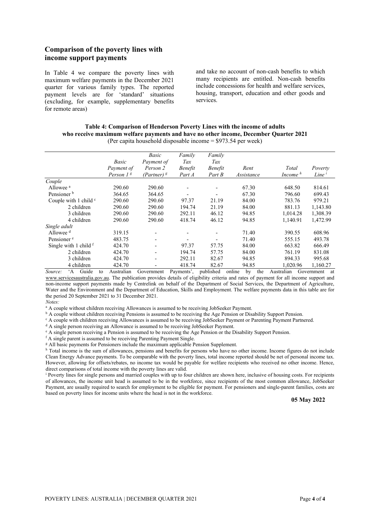## **Comparison of the poverty lines with income support payments**

In Table 4 we compare the poverty lines with maximum welfare payments in the December 2021 quarter for various family types. The reported payment levels are for 'standard' situations (excluding, for example, supplementary benefits for remote areas)

and take no account of non-cash benefits to which many recipients are entitled. Non-cash benefits include concessions for health and welfare services, housing, transport, education and other goods and services.

| Table 4: Comparison of Henderson Poverty Lines with the income of adults             |
|--------------------------------------------------------------------------------------|
| who receive maximum welfare payments and have no other income, December Quarter 2021 |
| (Per capita household disposable income $= $973.54$ per week)                        |

|                                                           | Basic                 | Basic<br>Payment of      | Family<br>Tax  | Family<br>Tax            |              |                   |                   |
|-----------------------------------------------------------|-----------------------|--------------------------|----------------|--------------------------|--------------|-------------------|-------------------|
|                                                           | Payment of            | Person 2                 | <b>Benefit</b> | <b>Benefit</b>           | Rent         | Total             | Poverty           |
|                                                           | Person 1 <sup>g</sup> | (Partner) <sup>g</sup>   | Part A         | Part B                   | Assistance   | Income $h$        | Line <sup>i</sup> |
| Couple                                                    |                       |                          |                |                          |              |                   |                   |
| Allowee <sup>a</sup>                                      | 290.60                | 290.60                   |                |                          | 67.30        | 648.50            | 814.61            |
| Pensioner <sup>b</sup>                                    | 364.65                | 364.65                   |                | $\overline{\phantom{a}}$ | 67.30        | 796.60            | 699.43            |
| Couple with 1 child $\circ$                               | 290.60                | 290.60                   | 97.37          | 21.19                    | 84.00        | 783.76            | 979.21            |
| 2 children                                                | 290.60                | 290.60                   | 194.74         | 21.19                    | 84.00        | 881.13            | 1,143.80          |
| 3 children                                                | 290.60                | 290.60                   | 292.11         | 46.12                    | 94.85        | 1,014.28          | 1,308.39          |
| 4 children                                                | 290.60                | 290.60                   | 418.74         | 46.12                    | 94.85        | 1,140.91          | 1,472.99          |
| Single adult                                              |                       |                          |                |                          |              |                   |                   |
| Allowee <sup>d</sup>                                      | 319.15                |                          |                |                          | 71.40        | 390.55            | 608.96            |
| Pensioner <sup>e</sup>                                    | 483.75                |                          |                |                          | 71.40        | 555.15            | 493.78            |
| Single with 1 child $f$                                   | 424.70                | $\overline{\phantom{0}}$ | 97.37          | 57.75                    | 84.00        | 663.82            | 666.49            |
| 2 children                                                | 424.70                | $\overline{\phantom{0}}$ | 194.74         | 57.75                    | 84.00        | 761.19            | 831.08            |
| 3 children                                                | 424.70                | $\overline{\phantom{0}}$ | 292.11         | 82.67                    | 94.85        | 894.33            | 995.68            |
| 4 children                                                | 424.70                | $\overline{\phantom{0}}$ | 418.74         | 82.67                    | 94.85        | 1.020.96          | 1.160.27          |
| Source <sup>2</sup><br>Guide<br>$\cdot$ A<br>$f_{\Omega}$ | Australian            | Government               | Payments'      | miblished                | online<br>hv | the<br>Australian | Government<br>-at |

*Source:* 'A Guide to Australian Government Payments', published online by the Australian Government at [www.servicesaustralia.gov.au.](http://www.servicesaustralia.gov.au/) The publication provides details of eligibility criteria and rates of payment for all income support and non-income support payments made by Centrelink on behalf of the Department of Social Services, the Department of Agriculture, Water and the Environment and the Department of Education, Skills and Employment. The welfare payments data in this table are for the period 20 September 2021 to 31 December 2021.

*Notes:* 

<sup>a</sup> A couple without children receiving Allowances is assumed to be receiving JobSeeker Payment.<br><sup>b</sup> A couple without children receiving Pensions is assumed to be receiving the Age Pension or Disability Support Pension.

 $^{\circ}$  A couple with children receiving Allowances is assumed to be receiving JobSeeker Payment or Parenting Payment Partnered.<br> $^{\circ}$  A single person receiving an Allowance is assumed to be receiving JobSeeker Payment.

 $\epsilon$  A single person receiving a Pension is assumed to be receiving the Age Pension or the Disability Support Pension.

<sup>f</sup> A single parent is assumed to be receiving Parenting Payment Single.

<sup>g</sup> All basic payments for Pensioners include the maximum applicable Pension Supplement.

h Total income is the sum of allowances, pensions and benefits for persons who have no other income. Income figures do not include Clean Energy Advance payments. To be comparable with the poverty lines, total income reported should be net of personal income tax. However, allowing for offsets/rebates, no income tax would be payable for welfare recipients who received no other income. Hence, direct comparisons of total income with the poverty lines are valid.

<sup>i</sup> Poverty lines for single persons and married couples with up to four children are shown here, inclusive of housing costs. For recipients of allowances, the income unit head is assumed to be in the workforce, since recipients of the most common allowance, JobSeeker Payment, are usually required to search for employment to be eligible for payment. For pensioners and single-parent families, costs are based on poverty lines for income units where the head is not in the workforce.

**05 May 2022**